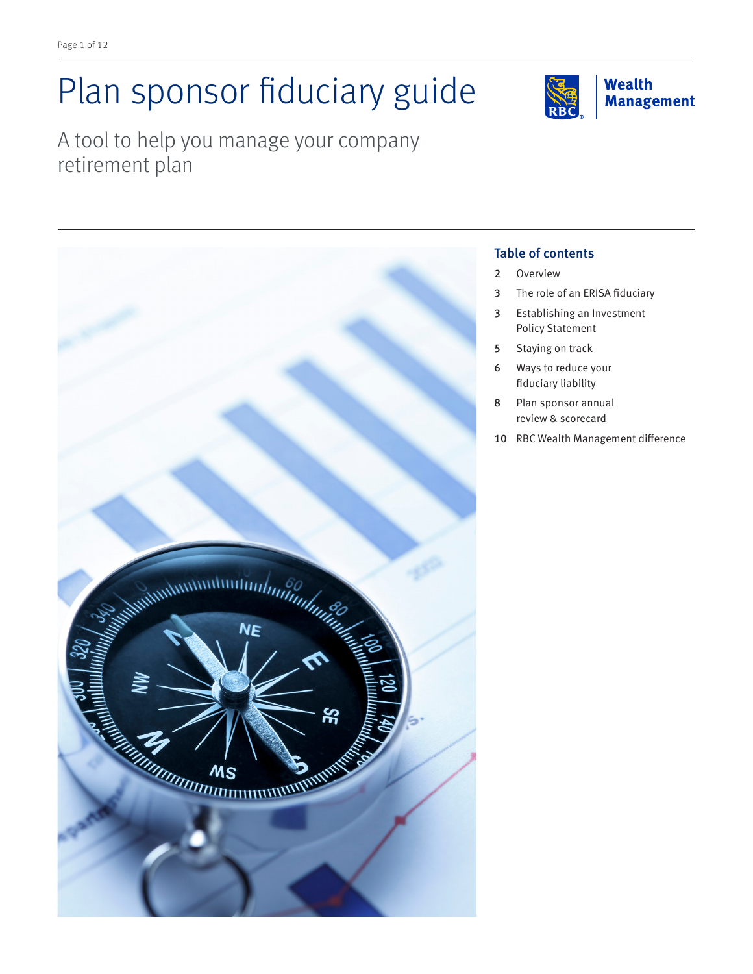# Plan sponsor fiduciary guide

**Wealth Management** 

A tool to help you manage your company retirement plan



#### Table of contents

- 2 Overview
- 3 The role of an ERISA fiduciary
- 3 Establishing an Investment Policy Statement
- 5 Staying on track
- 6 Ways to reduce your fiduciary liability
- 8 Plan sponsor annual review & scorecard
- 10 RBC Wealth Management difference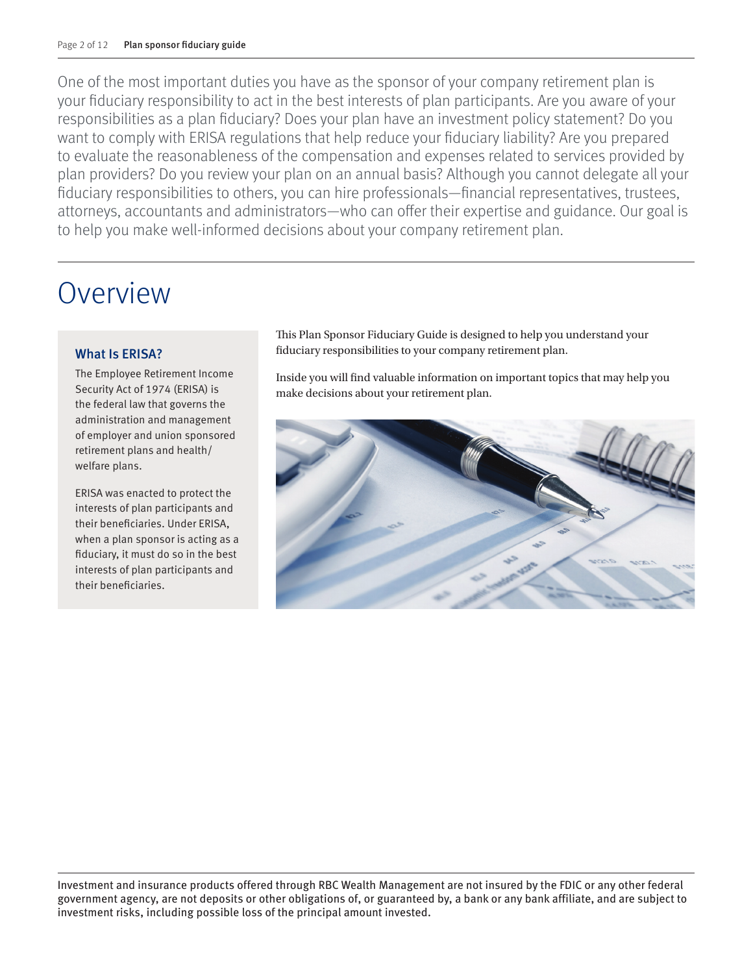One of the most important duties you have as the sponsor of your company retirement plan is your fiduciary responsibility to act in the best interests of plan participants. Are you aware of your responsibilities as a plan fiduciary? Does your plan have an investment policy statement? Do you want to comply with ERISA regulations that help reduce your fiduciary liability? Are you prepared to evaluate the reasonableness of the compensation and expenses related to services provided by plan providers? Do you review your plan on an annual basis? Although you cannot delegate all your fiduciary responsibilities to others, you can hire professionals—financial representatives, trustees, attorneys, accountants and administrators—who can offer their expertise and guidance. Our goal is to help you make well-informed decisions about your company retirement plan.

# Overview

#### What Is ERISA?

The Employee Retirement Income Security Act of 1974 (ERISA) is the federal law that governs the administration and management of employer and union sponsored retirement plans and health/ welfare plans.

ERISA was enacted to protect the interests of plan participants and their beneficiaries. Under ERISA, when a plan sponsor is acting as a fiduciary, it must do so in the best interests of plan participants and their beneficiaries.

This Plan Sponsor Fiduciary Guide is designed to help you understand your fiduciary responsibilities to your company retirement plan.

Inside you will find valuable information on important topics that may help you make decisions about your retirement plan.



Investment and insurance products offered through RBC Wealth Management are not insured by the FDIC or any other federal government agency, are not deposits or other obligations of, or guaranteed by, a bank or any bank affiliate, and are subject to investment risks, including possible loss of the principal amount invested.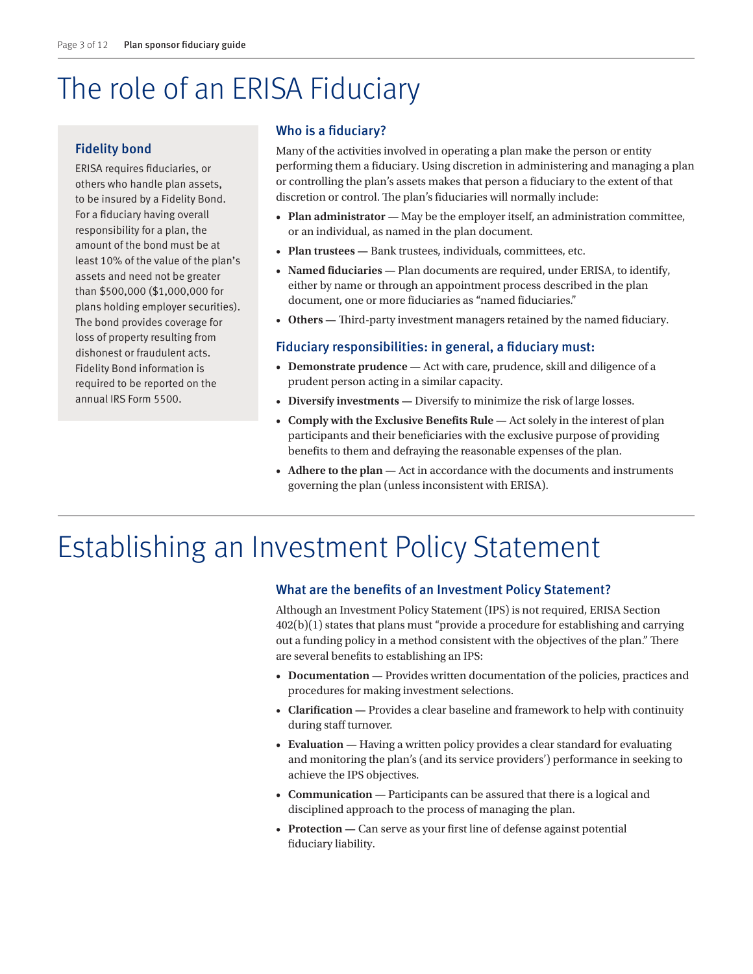# The role of an ERISA Fiduciary

#### Fidelity bond

ERISA requires fiduciaries, or others who handle plan assets, to be insured by a Fidelity Bond. For a fiduciary having overall responsibility for a plan, the amount of the bond must be at least 10% of the value of the plan's assets and need not be greater than \$500,000 (\$1,000,000 for plans holding employer securities). The bond provides coverage for loss of property resulting from dishonest or fraudulent acts. Fidelity Bond information is required to be reported on the annual IRS Form 5500.

#### Who is a fiduciary?

Many of the activities involved in operating a plan make the person or entity performing them a fiduciary. Using discretion in administering and managing a plan or controlling the plan's assets makes that person a fiduciary to the extent of that discretion or control. The plan's fiduciaries will normally include:

- **Plan administrator —** May be the employer itself, an administration committee, or an individual, as named in the plan document.
- **Plan trustees —** Bank trustees, individuals, committees, etc.
- **Named fiduciaries —** Plan documents are required, under ERISA, to identify, either by name or through an appointment process described in the plan document, one or more fiduciaries as "named fiduciaries."
- **Others —** Third-party investment managers retained by the named fiduciary.

#### Fiduciary responsibilities: in general, a fiduciary must:

- **Demonstrate prudence —** Act with care, prudence, skill and diligence of a prudent person acting in a similar capacity.
- **Diversify investments** Diversify to minimize the risk of large losses.
- **Comply with the Exclusive Benefits Rule —** Act solely in the interest of plan participants and their beneficiaries with the exclusive purpose of providing benefits to them and defraying the reasonable expenses of the plan.
- **Adhere to the plan —** Act in accordance with the documents and instruments governing the plan (unless inconsistent with ERISA).

# Establishing an Investment Policy Statement

#### What are the benefits of an Investment Policy Statement?

Although an Investment Policy Statement (IPS) is not required, ERISA Section 402(b)(1) states that plans must "provide a procedure for establishing and carrying out a funding policy in a method consistent with the objectives of the plan." There are several benefits to establishing an IPS:

- **Documentation —** Provides written documentation of the policies, practices and procedures for making investment selections.
- **Clarification —** Provides a clear baseline and framework to help with continuity during staff turnover.
- **Evaluation —** Having a written policy provides a clear standard for evaluating and monitoring the plan's (and its service providers') performance in seeking to achieve the IPS objectives.
- **Communication —** Participants can be assured that there is a logical and disciplined approach to the process of managing the plan.
- **Protection —** Can serve as your first line of defense against potential fiduciary liability.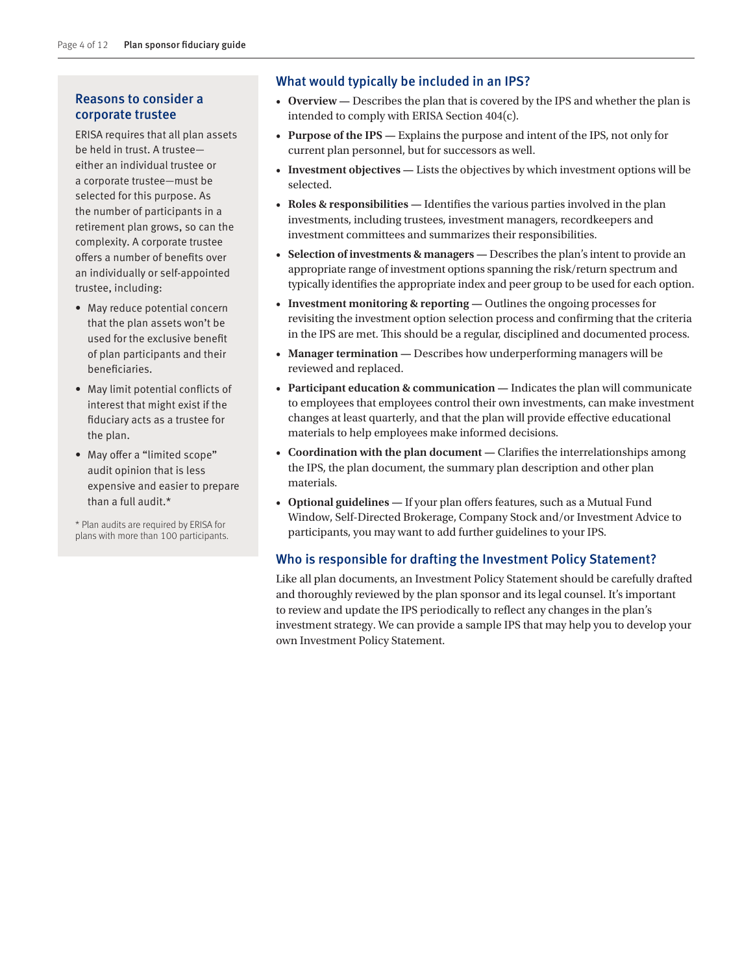#### Reasons to consider a corporate trustee

ERISA requires that all plan assets be held in trust. A trustee either an individual trustee or a corporate trustee—must be selected for this purpose. As the number of participants in a retirement plan grows, so can the complexity. A corporate trustee offers a number of benefits over an individually or self-appointed trustee, including:

- May reduce potential concern that the plan assets won't be used for the exclusive benefit of plan participants and their beneficiaries.
- May limit potential conflicts of interest that might exist if the fiduciary acts as a trustee for the plan.
- May offer a "limited scope" audit opinion that is less expensive and easier to prepare than a full audit.\*

\* Plan audits are required by ERISA for plans with more than 100 participants.

#### What would typically be included in an IPS?

- **Overview** Describes the plan that is covered by the IPS and whether the plan is intended to comply with ERISA Section 404(c).
- **Purpose of the IPS** Explains the purpose and intent of the IPS, not only for current plan personnel, but for successors as well.
- **Investment objectives —** Lists the objectives by which investment options will be selected.
- **Roles & responsibilities —** Identifies the various parties involved in the plan investments, including trustees, investment managers, recordkeepers and investment committees and summarizes their responsibilities.
- **Selection of investments & managers —** Describes the plan's intent to provide an appropriate range of investment options spanning the risk/return spectrum and typically identifies the appropriate index and peer group to be used for each option.
- **Investment monitoring & reporting —** Outlines the ongoing processes for revisiting the investment option selection process and confirming that the criteria in the IPS are met. This should be a regular, disciplined and documented process.
- **Manager termination** Describes how underperforming managers will be reviewed and replaced.
- **Participant education & communication —** Indicates the plan will communicate to employees that employees control their own investments, can make investment changes at least quarterly, and that the plan will provide effective educational materials to help employees make informed decisions.
- Coordination with the plan document Clarifies the interrelationships among the IPS, the plan document, the summary plan description and other plan materials.
- **Optional guidelines —** If your plan offers features, such as a Mutual Fund Window, Self-Directed Brokerage, Company Stock and/or Investment Advice to participants, you may want to add further guidelines to your IPS.

#### Who is responsible for drafting the Investment Policy Statement?

Like all plan documents, an Investment Policy Statement should be carefully drafted and thoroughly reviewed by the plan sponsor and its legal counsel. It's important to review and update the IPS periodically to reflect any changes in the plan's investment strategy. We can provide a sample IPS that may help you to develop your own Investment Policy Statement.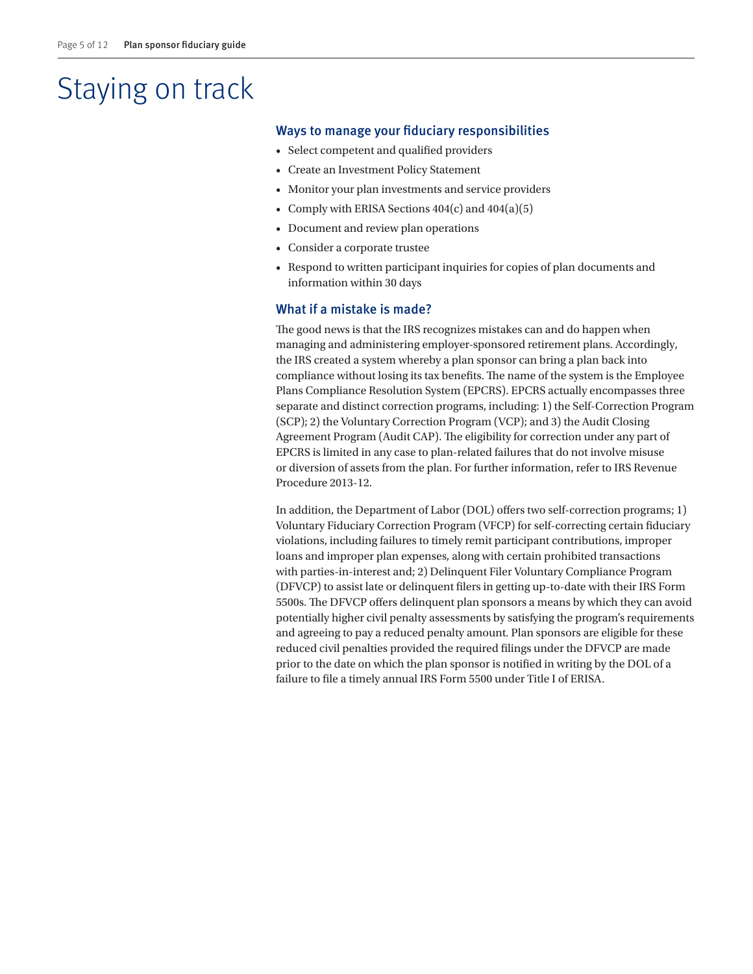# Staying on track

#### Ways to manage your fiduciary responsibilities

- Select competent and qualified providers
- Create an Investment Policy Statement
- Monitor your plan investments and service providers
- Comply with ERISA Sections 404(c) and 404(a)(5)
- Document and review plan operations
- Consider a corporate trustee
- Respond to written participant inquiries for copies of plan documents and information within 30 days

#### What if a mistake is made?

The good news is that the IRS recognizes mistakes can and do happen when managing and administering employer-sponsored retirement plans. Accordingly, the IRS created a system whereby a plan sponsor can bring a plan back into compliance without losing its tax benefits. The name of the system is the Employee Plans Compliance Resolution System (EPCRS). EPCRS actually encompasses three separate and distinct correction programs, including: 1) the Self-Correction Program (SCP); 2) the Voluntary Correction Program (VCP); and 3) the Audit Closing Agreement Program (Audit CAP). The eligibility for correction under any part of EPCRS is limited in any case to plan-related failures that do not involve misuse or diversion of assets from the plan. For further information, refer to IRS Revenue Procedure 2013-12.

In addition, the Department of Labor (DOL) offers two self-correction programs; 1) Voluntary Fiduciary Correction Program (VFCP) for self-correcting certain fiduciary violations, including failures to timely remit participant contributions, improper loans and improper plan expenses, along with certain prohibited transactions with parties-in-interest and; 2) Delinquent Filer Voluntary Compliance Program (DFVCP) to assist late or delinquent filers in getting up-to-date with their IRS Form 5500s. The DFVCP offers delinquent plan sponsors a means by which they can avoid potentially higher civil penalty assessments by satisfying the program's requirements and agreeing to pay a reduced penalty amount. Plan sponsors are eligible for these reduced civil penalties provided the required filings under the DFVCP are made prior to the date on which the plan sponsor is notified in writing by the DOL of a failure to file a timely annual IRS Form 5500 under Title I of ERISA.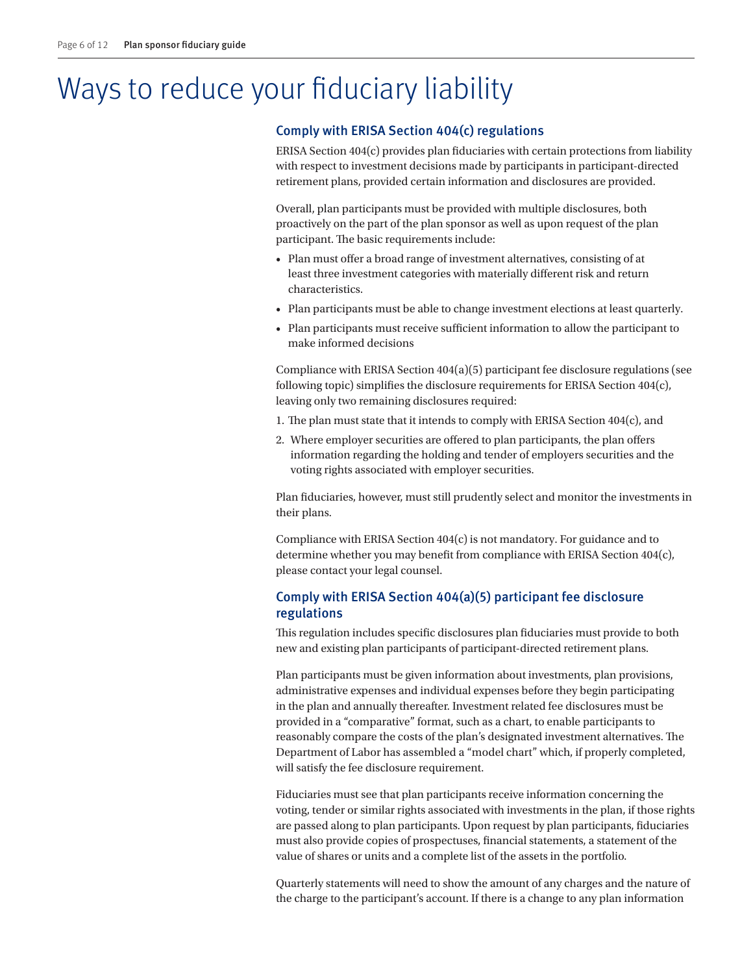# Ways to reduce your fiduciary liability

#### Comply with ERISA Section 404(c) regulations

ERISA Section 404(c) provides plan fiduciaries with certain protections from liability with respect to investment decisions made by participants in participant-directed retirement plans, provided certain information and disclosures are provided.

Overall, plan participants must be provided with multiple disclosures, both proactively on the part of the plan sponsor as well as upon request of the plan participant. The basic requirements include:

- Plan must offer a broad range of investment alternatives, consisting of at least three investment categories with materially different risk and return characteristics.
- Plan participants must be able to change investment elections at least quarterly.
- Plan participants must receive sufficient information to allow the participant to make informed decisions

Compliance with ERISA Section  $404(a)(5)$  participant fee disclosure regulations (see following topic) simplifies the disclosure requirements for ERISA Section 404(c), leaving only two remaining disclosures required:

- 1. The plan must state that it intends to comply with ERISA Section 404(c), and
- 2. Where employer securities are offered to plan participants, the plan offers information regarding the holding and tender of employers securities and the voting rights associated with employer securities.

Plan fiduciaries, however, must still prudently select and monitor the investments in their plans.

Compliance with ERISA Section 404(c) is not mandatory. For guidance and to determine whether you may benefit from compliance with ERISA Section 404(c), please contact your legal counsel.

#### Comply with ERISA Section 404(a)(5) participant fee disclosure regulations

This regulation includes specific disclosures plan fiduciaries must provide to both new and existing plan participants of participant-directed retirement plans.

Plan participants must be given information about investments, plan provisions, administrative expenses and individual expenses before they begin participating in the plan and annually thereafter. Investment related fee disclosures must be provided in a "comparative" format, such as a chart, to enable participants to reasonably compare the costs of the plan's designated investment alternatives. The Department of Labor has assembled a "model chart" which, if properly completed, will satisfy the fee disclosure requirement.

Fiduciaries must see that plan participants receive information concerning the voting, tender or similar rights associated with investments in the plan, if those rights are passed along to plan participants. Upon request by plan participants, fiduciaries must also provide copies of prospectuses, financial statements, a statement of the value of shares or units and a complete list of the assets in the portfolio.

Quarterly statements will need to show the amount of any charges and the nature of the charge to the participant's account. If there is a change to any plan information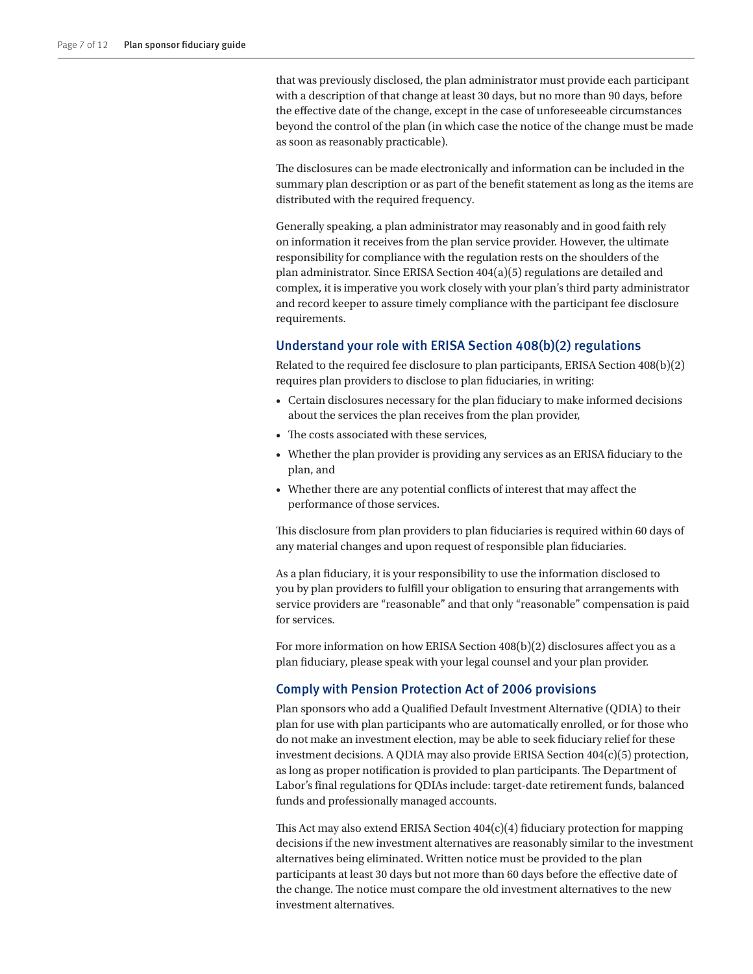that was previously disclosed, the plan administrator must provide each participant with a description of that change at least 30 days, but no more than 90 days, before the effective date of the change, except in the case of unforeseeable circumstances beyond the control of the plan (in which case the notice of the change must be made as soon as reasonably practicable).

The disclosures can be made electronically and information can be included in the summary plan description or as part of the benefit statement as long as the items are distributed with the required frequency.

Generally speaking, a plan administrator may reasonably and in good faith rely on information it receives from the plan service provider. However, the ultimate responsibility for compliance with the regulation rests on the shoulders of the plan administrator. Since ERISA Section 404(a)(5) regulations are detailed and complex, it is imperative you work closely with your plan's third party administrator and record keeper to assure timely compliance with the participant fee disclosure requirements.

#### Understand your role with ERISA Section 408(b)(2) regulations

Related to the required fee disclosure to plan participants, ERISA Section 408(b)(2) requires plan providers to disclose to plan fiduciaries, in writing:

- Certain disclosures necessary for the plan fiduciary to make informed decisions about the services the plan receives from the plan provider,
- The costs associated with these services,
- Whether the plan provider is providing any services as an ERISA fiduciary to the plan, and
- Whether there are any potential conflicts of interest that may affect the performance of those services.

This disclosure from plan providers to plan fiduciaries is required within 60 days of any material changes and upon request of responsible plan fiduciaries.

As a plan fiduciary, it is your responsibility to use the information disclosed to you by plan providers to fulfill your obligation to ensuring that arrangements with service providers are "reasonable" and that only "reasonable" compensation is paid for services.

For more information on how ERISA Section 408(b)(2) disclosures affect you as a plan fiduciary, please speak with your legal counsel and your plan provider.

#### Comply with Pension Protection Act of 2006 provisions

Plan sponsors who add a Qualified Default Investment Alternative (QDIA) to their plan for use with plan participants who are automatically enrolled, or for those who do not make an investment election, may be able to seek fiduciary relief for these investment decisions. A QDIA may also provide ERISA Section  $404(c)(5)$  protection, as long as proper notification is provided to plan participants. The Department of Labor's final regulations for QDIAs include: target-date retirement funds, balanced funds and professionally managed accounts.

This Act may also extend ERISA Section  $404(c)(4)$  fiduciary protection for mapping decisions if the new investment alternatives are reasonably similar to the investment alternatives being eliminated. Written notice must be provided to the plan participants at least 30 days but not more than 60 days before the effective date of the change. The notice must compare the old investment alternatives to the new investment alternatives.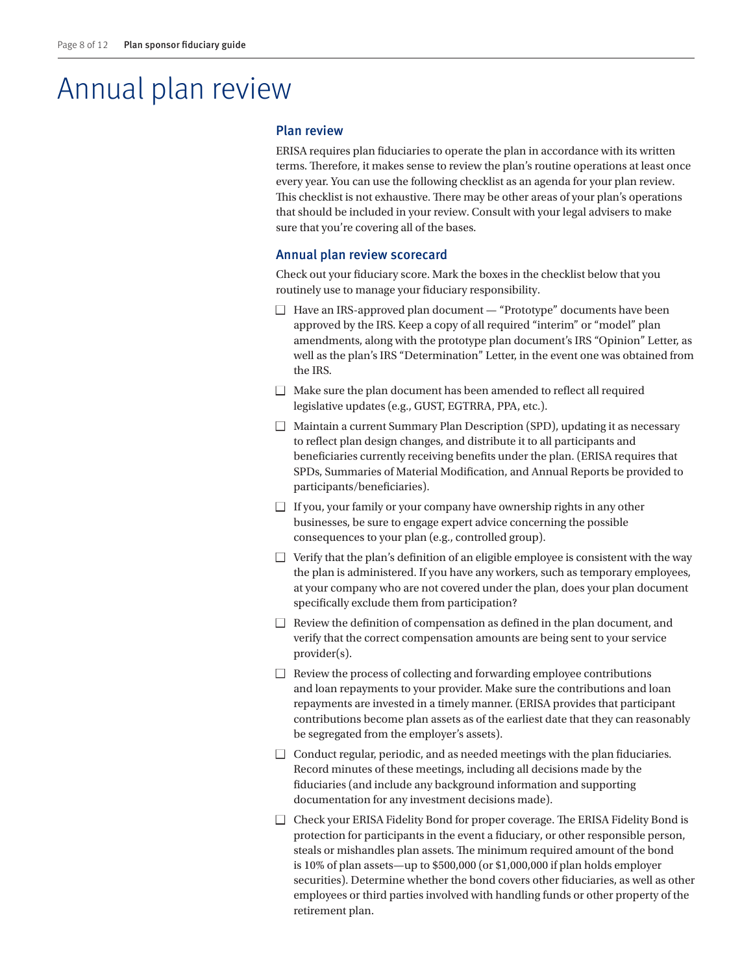# Annual plan review

#### Plan review

ERISA requires plan fiduciaries to operate the plan in accordance with its written terms. Therefore, it makes sense to review the plan's routine operations at least once every year. You can use the following checklist as an agenda for your plan review. This checklist is not exhaustive. There may be other areas of your plan's operations that should be included in your review. Consult with your legal advisers to make sure that you're covering all of the bases.

#### Annual plan review scorecard

Check out your fiduciary score. Mark the boxes in the checklist below that you routinely use to manage your fiduciary responsibility.

- $\Box$  Have an IRS-approved plan document "Prototype" documents have been approved by the IRS. Keep a copy of all required "interim" or "model" plan amendments, along with the prototype plan document's IRS "Opinion" Letter, as well as the plan's IRS "Determination" Letter, in the event one was obtained from the IRS.
- $\Box$  Make sure the plan document has been amended to reflect all required legislative updates (e.g., GUST, EGTRRA, PPA, etc.).
- $\Box$  Maintain a current Summary Plan Description (SPD), updating it as necessary to reflect plan design changes, and distribute it to all participants and beneficiaries currently receiving benefits under the plan. (ERISA requires that SPDs, Summaries of Material Modification, and Annual Reports be provided to participants/beneficiaries).
- $\Box$  If you, your family or your company have ownership rights in any other businesses, be sure to engage expert advice concerning the possible consequences to your plan (e.g., controlled group).
- $\Box$  Verify that the plan's definition of an eligible employee is consistent with the way the plan is administered. If you have any workers, such as temporary employees, at your company who are not covered under the plan, does your plan document specifically exclude them from participation?
- $\Box$  Review the definition of compensation as defined in the plan document, and verify that the correct compensation amounts are being sent to your service provider(s).
- $\Box$  Review the process of collecting and forwarding employee contributions and loan repayments to your provider. Make sure the contributions and loan repayments are invested in a timely manner. (ERISA provides that participant contributions become plan assets as of the earliest date that they can reasonably be segregated from the employer's assets).
- $\Box$  Conduct regular, periodic, and as needed meetings with the plan fiduciaries. Record minutes of these meetings, including all decisions made by the fiduciaries (and include any background information and supporting documentation for any investment decisions made).
- $\Box$  Check your ERISA Fidelity Bond for proper coverage. The ERISA Fidelity Bond is protection for participants in the event a fiduciary, or other responsible person, steals or mishandles plan assets. The minimum required amount of the bond is 10% of plan assets—up to \$500,000 (or \$1,000,000 if plan holds employer securities). Determine whether the bond covers other fiduciaries, as well as other employees or third parties involved with handling funds or other property of the retirement plan.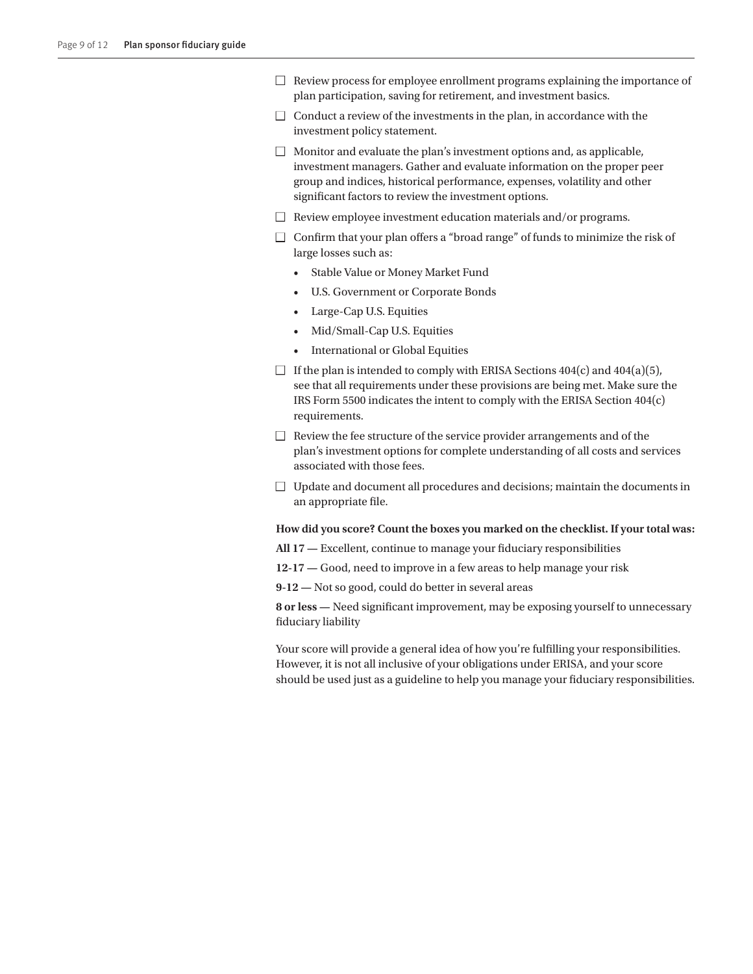- $\Box$  Review process for employee enrollment programs explaining the importance of plan participation, saving for retirement, and investment basics.
- $\Box$  Conduct a review of the investments in the plan, in accordance with the investment policy statement.
- $\Box$  Monitor and evaluate the plan's investment options and, as applicable, investment managers. Gather and evaluate information on the proper peer group and indices, historical performance, expenses, volatility and other significant factors to review the investment options.
- $\Box$  Review employee investment education materials and/or programs.
- $\Box$  Confirm that your plan offers a "broad range" of funds to minimize the risk of large losses such as:
	- Stable Value or Money Market Fund
	- U.S. Government or Corporate Bonds
	- Large-Cap U.S. Equities
	- Mid/Small-Cap U.S. Equities
	- International or Global Equities
- $\Box$  If the plan is intended to comply with ERISA Sections 404(c) and 404(a)(5), see that all requirements under these provisions are being met. Make sure the IRS Form 5500 indicates the intent to comply with the ERISA Section 404(c) requirements.
- $\Box$  Review the fee structure of the service provider arrangements and of the plan's investment options for complete understanding of all costs and services associated with those fees.
- $\Box$  Update and document all procedures and decisions; maintain the documents in an appropriate file.

#### **How did you score? Count the boxes you marked on the checklist. If your total was:**

**All 17 —** Excellent, continue to manage your fiduciary responsibilities

- **12-17 —** Good, need to improve in a few areas to help manage your risk
- **9-12 —** Not so good, could do better in several areas

**8 or less —** Need significant improvement, may be exposing yourself to unnecessary fiduciary liability

Your score will provide a general idea of how you're fulfilling your responsibilities. However, it is not all inclusive of your obligations under ERISA, and your score should be used just as a guideline to help you manage your fiduciary responsibilities.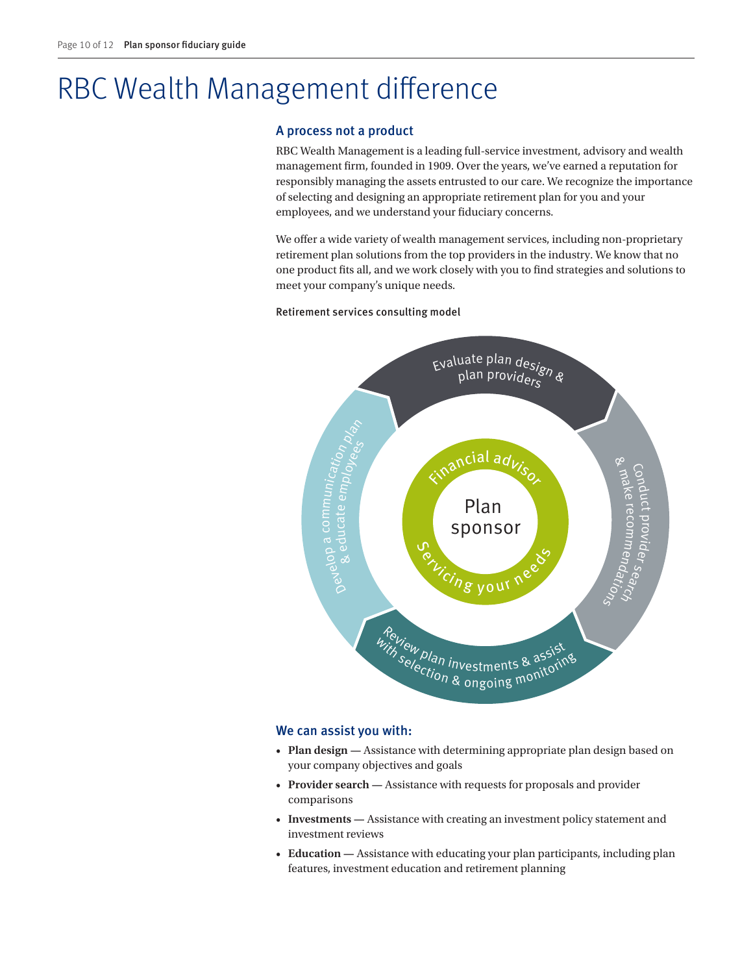# RBC Wealth Management difference

#### A process not a product

RBC Wealth Management is a leading full-service investment, advisory and wealth management firm, founded in 1909. Over the years, we've earned a reputation for responsibly managing the assets entrusted to our care. We recognize the importance of selecting and designing an appropriate retirement plan for you and your employees, and we understand your fiduciary concerns.

We offer a wide variety of wealth management services, including non-proprietary retirement plan solutions from the top providers in the industry. We know that no one product fits all, and we work closely with you to find strategies and solutions to meet your company's unique needs.

Retirement services consulting model Retirement services consulting model



#### We can assist you with:

- **Plan design —** Assistance with determining appropriate plan design based on your company objectives and goals
- **Provider search** Assistance with requests for proposals and provider comparisons
- **Investments —** Assistance with creating an investment policy statement and investment reviews
- **Education —** Assistance with educating your plan participants, including plan features, investment education and retirement planning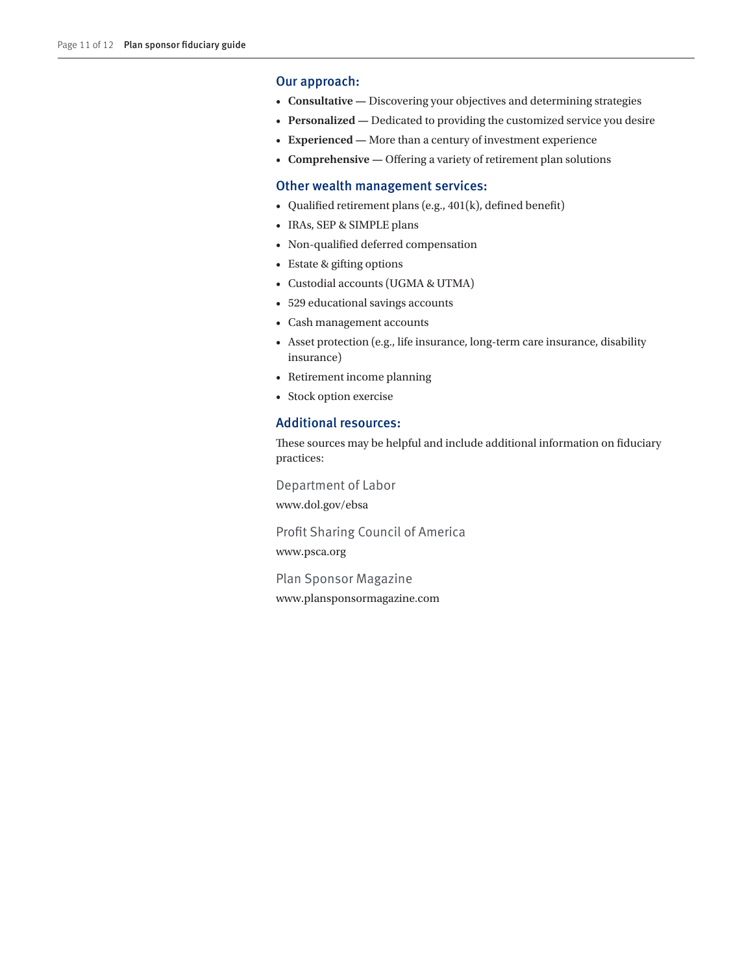#### Our approach:

- **Consultative —** Discovering your objectives and determining strategies
- **Personalized —** Dedicated to providing the customized service you desire
- **Experienced —** More than a century of investment experience
- **Comprehensive —** Offering a variety of retirement plan solutions

#### Other wealth management services:

- Qualified retirement plans (e.g., 401(k), defined benefit)
- IRAs, SEP & SIMPLE plans
- Non-qualified deferred compensation
- Estate & gifting options
- Custodial accounts (UGMA & UTMA)
- 529 educational savings accounts
- Cash management accounts
- Asset protection (e.g., life insurance, long-term care insurance, disability insurance)
- Retirement income planning
- Stock option exercise

#### Additional resources:

These sources may be helpful and include additional information on fiduciary practices:

Department of Labor www.dol.gov/ebsa

Profit Sharing Council of America www.psca.org

Plan Sponsor Magazine www.plansponsormagazine.com